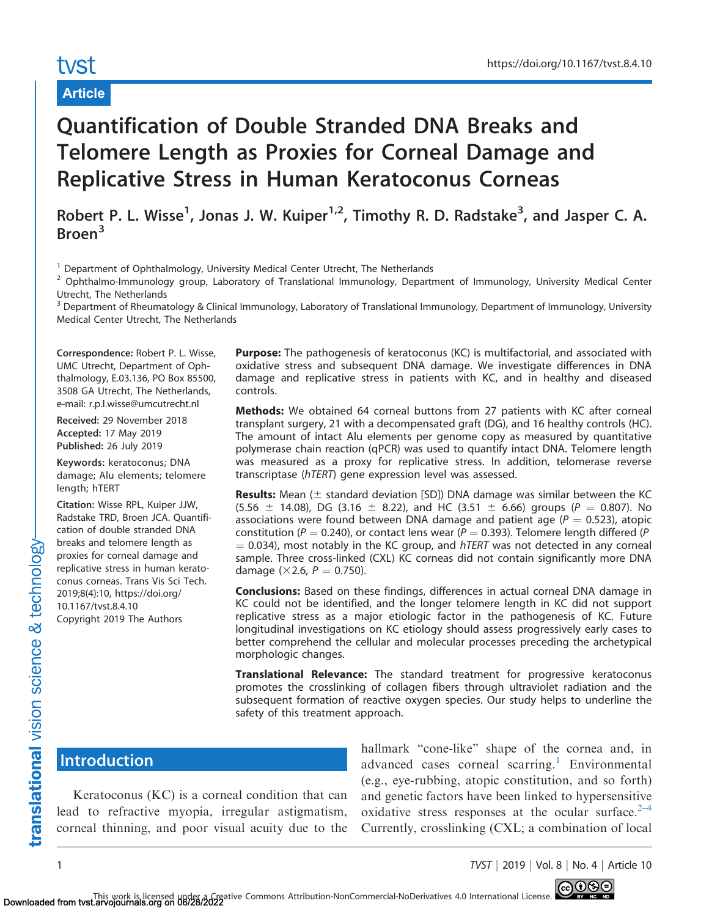# tyst

#### Article

# Quantification of Double Stranded DNA Breaks and Telomere Length as Proxies for Corneal Damage and Replicative Stress in Human Keratoconus Corneas

Robert P. L. Wisse<sup>1</sup>, Jonas J. W. Kuiper<sup>1,2</sup>, Timothy R. D. Radstake<sup>3</sup>, and Jasper C. A. Broen<sup>3</sup>

<sup>1</sup> Department of Ophthalmology, University Medical Center Utrecht, The Netherlands

<sup>2</sup> Ophthalmo-Immunology group, Laboratory of Translational Immunology, Department of Immunology, University Medical Center Utrecht, The Netherlands

<sup>3</sup> Department of Rheumatology & Clinical Immunology, Laboratory of Translational Immunology, Department of Immunology, University Medical Center Utrecht, The Netherlands

Correspondence: Robert P. L. Wisse, UMC Utrecht, Department of Ophthalmology, E.03.136, PO Box 85500, 3508 GA Utrecht, The Netherlands, e-mail: r.p.l.wisse@umcutrecht.nl

Received: 29 November 2018 Accepted: 17 May 2019 Published: 26 July 2019

Keywords: keratoconus; DNA damage; Alu elements; telomere length; hTERT

Citation: Wisse RPL, Kuiper JJW, Radstake TRD, Broen JCA. Quantification of double stranded DNA breaks and telomere length as proxies for corneal damage and replicative stress in human keratoconus corneas. Trans Vis Sci Tech. 2019;8(4):10, https://doi.org/ 10.1167/tvst.8.4.10 Copyright 2019 The Authors

Purpose: The pathogenesis of keratoconus (KC) is multifactorial, and associated with oxidative stress and subsequent DNA damage. We investigate differences in DNA damage and replicative stress in patients with KC, and in healthy and diseased controls.

**Methods:** We obtained 64 corneal buttons from 27 patients with KC after corneal transplant surgery, 21 with a decompensated graft (DG), and 16 healthy controls (HC). The amount of intact Alu elements per genome copy as measured by quantitative polymerase chain reaction (qPCR) was used to quantify intact DNA. Telomere length was measured as a proxy for replicative stress. In addition, telomerase reverse transcriptase (hTERT) gene expression level was assessed.

**Results:** Mean  $(\pm$  standard deviation [SD]) DNA damage was similar between the KC  $(5.56 \pm 14.08)$ , DG  $(3.16 \pm 8.22)$ , and HC  $(3.51 \pm 6.66)$  groups (P = 0.807). No associations were found between DNA damage and patient age ( $P = 0.523$ ), atopic constitution ( $P = 0.240$ ), or contact lens wear ( $P = 0.393$ ). Telomere length differed ( $P$  $= 0.034$ ), most notably in the KC group, and  $h \text{TERT}$  was not detected in any corneal sample. Three cross-linked (CXL) KC corneas did not contain significantly more DNA damage  $(X2.6, P = 0.750)$ .

Conclusions: Based on these findings, differences in actual corneal DNA damage in KC could not be identified, and the longer telomere length in KC did not support replicative stress as a major etiologic factor in the pathogenesis of KC. Future longitudinal investigations on KC etiology should assess progressively early cases to better comprehend the cellular and molecular processes preceding the archetypical morphologic changes.

Translational Relevance: The standard treatment for progressive keratoconus promotes the crosslinking of collagen fibers through ultraviolet radiation and the subsequent formation of reactive oxygen species. Our study helps to underline the safety of this treatment approach.

# Introduction

Keratoconus (KC) is a corneal condition that can lead to refractive myopia, irregular astigmatism, corneal thinning, and poor visual acuity due to the

hallmark "cone-like" shape of the cornea and, in advanced cases corneal scarring.<sup>[1](#page-6-0)</sup> Environmental (e.g., eye-rubbing, atopic constitution, and so forth) and genetic factors have been linked to hypersensitive oxidative stress responses at the ocular surface. $2-4$ Currently, crosslinking (CXL; a combination of local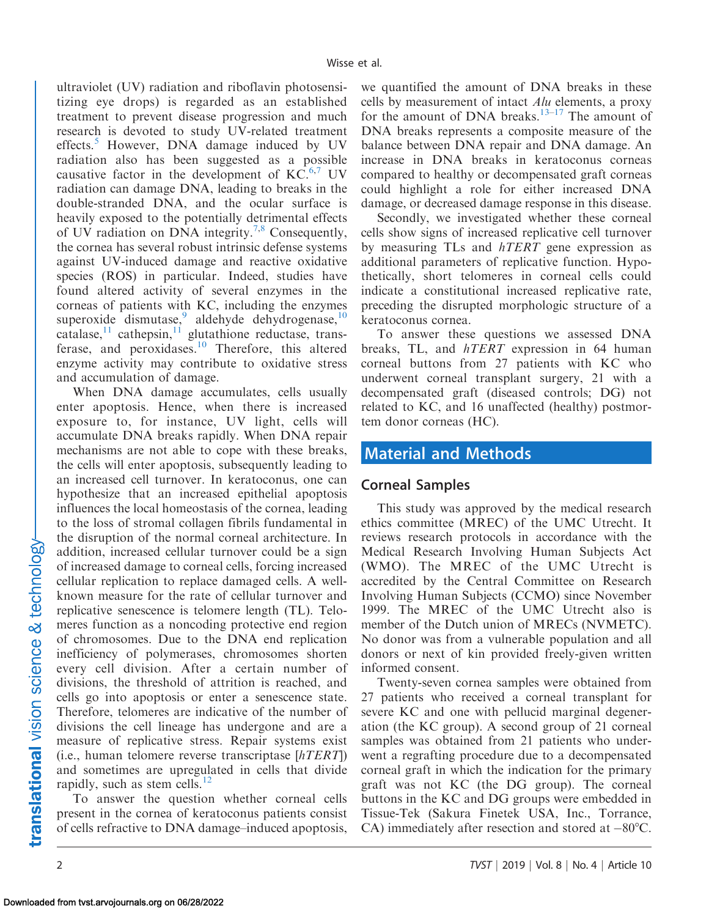ultraviolet (UV) radiation and riboflavin photosensitizing eye drops) is regarded as an established treatment to prevent disease progression and much research is devoted to study UV-related treatment effects.<sup>[5](#page-6-0)</sup> However, DNA damage induced by UV radiation also has been suggested as a possible causative factor in the development of  $KC<sup>6,7</sup>$  $KC<sup>6,7</sup>$  $KC<sup>6,7</sup>$  UV radiation can damage DNA, leading to breaks in the double-stranded DNA, and the ocular surface is heavily exposed to the potentially detrimental effects of UV radiation on DNA integrity.<sup>[7,8](#page-6-0)</sup> Consequently, the cornea has several robust intrinsic defense systems against UV-induced damage and reactive oxidative species (ROS) in particular. Indeed, studies have found altered activity of several enzymes in the corneas of patients with KC, including the enzymes superoxide dismutase,<sup>[9](#page-6-0)</sup> aldehyde dehydrogenase,<sup>[10](#page-6-0)</sup> catalase, $\frac{11}{11}$  $\frac{11}{11}$  $\frac{11}{11}$  cathepsin, $\frac{11}{11}$  glutathione reductase, transferase, and peroxidases.[10](#page-6-0) Therefore, this altered enzyme activity may contribute to oxidative stress and accumulation of damage.

When DNA damage accumulates, cells usually enter apoptosis. Hence, when there is increased exposure to, for instance, UV light, cells will accumulate DNA breaks rapidly. When DNA repair mechanisms are not able to cope with these breaks, the cells will enter apoptosis, subsequently leading to an increased cell turnover. In keratoconus, one can hypothesize that an increased epithelial apoptosis influences the local homeostasis of the cornea, leading to the loss of stromal collagen fibrils fundamental in the disruption of the normal corneal architecture. In addition, increased cellular turnover could be a sign of increased damage to corneal cells, forcing increased cellular replication to replace damaged cells. A wellknown measure for the rate of cellular turnover and replicative senescence is telomere length (TL). Telomeres function as a noncoding protective end region of chromosomes. Due to the DNA end replication inefficiency of polymerases, chromosomes shorten every cell division. After a certain number of divisions, the threshold of attrition is reached, and cells go into apoptosis or enter a senescence state. Therefore, telomeres are indicative of the number of divisions the cell lineage has undergone and are a measure of replicative stress. Repair systems exist (i.e., human telomere reverse transcriptase  $[hTERT]$ ) and sometimes are upregulated in cells that divide rapidly, such as stem cells. $^{12}$  $^{12}$  $^{12}$ 

To answer the question whether corneal cells present in the cornea of keratoconus patients consist of cells refractive to DNA damage–induced apoptosis, we quantified the amount of DNA breaks in these cells by measurement of intact Alu elements, a proxy for the amount of DNA breaks. $13-17$  The amount of DNA breaks represents a composite measure of the balance between DNA repair and DNA damage. An increase in DNA breaks in keratoconus corneas compared to healthy or decompensated graft corneas could highlight a role for either increased DNA damage, or decreased damage response in this disease.

Secondly, we investigated whether these corneal cells show signs of increased replicative cell turnover by measuring TLs and *hTERT* gene expression as additional parameters of replicative function. Hypothetically, short telomeres in corneal cells could indicate a constitutional increased replicative rate, preceding the disrupted morphologic structure of a keratoconus cornea.

To answer these questions we assessed DNA breaks, TL, and hTERT expression in 64 human corneal buttons from 27 patients with KC who underwent corneal transplant surgery, 21 with a decompensated graft (diseased controls; DG) not related to KC, and 16 unaffected (healthy) postmortem donor corneas (HC).

#### Material and Methods

#### Corneal Samples

This study was approved by the medical research ethics committee (MREC) of the UMC Utrecht. It reviews research protocols in accordance with the Medical Research Involving Human Subjects Act (WMO). The MREC of the UMC Utrecht is accredited by the Central Committee on Research Involving Human Subjects (CCMO) since November 1999. The MREC of the UMC Utrecht also is member of the Dutch union of MRECs (NVMETC). No donor was from a vulnerable population and all donors or next of kin provided freely-given written informed consent.

Twenty-seven cornea samples were obtained from 27 patients who received a corneal transplant for severe KC and one with pellucid marginal degeneration (the KC group). A second group of 21 corneal samples was obtained from 21 patients who underwent a regrafting procedure due to a decompensated corneal graft in which the indication for the primary graft was not KC (the DG group). The corneal buttons in the KC and DG groups were embedded in Tissue-Tek (Sakura Finetek USA, Inc., Torrance, CA) immediately after resection and stored at  $-80^{\circ}$ C.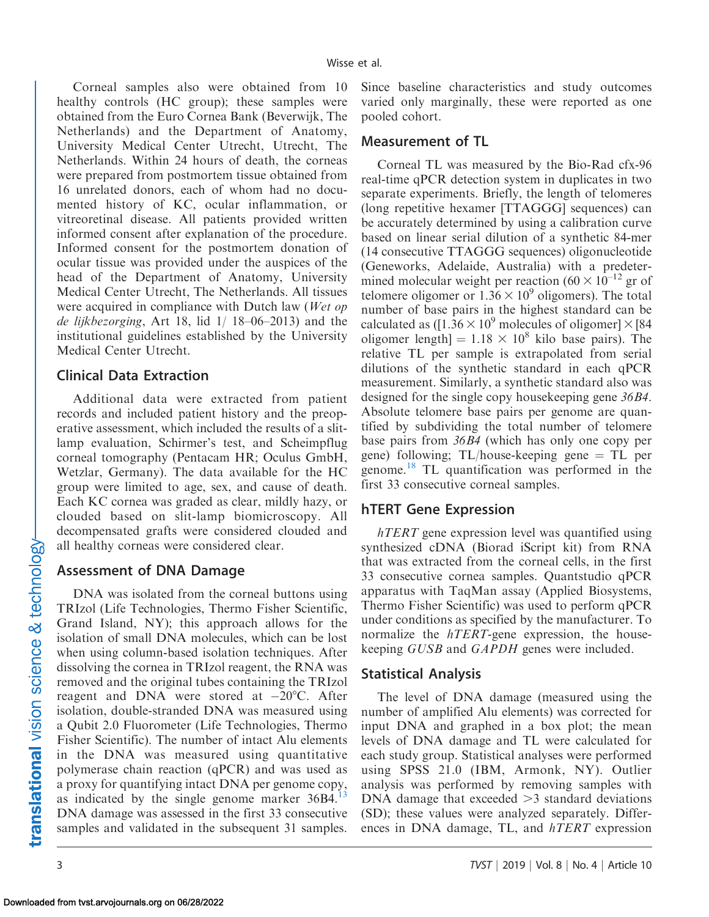Corneal samples also were obtained from 10 healthy controls (HC group); these samples were obtained from the Euro Cornea Bank (Beverwijk, The Netherlands) and the Department of Anatomy, University Medical Center Utrecht, Utrecht, The Netherlands. Within 24 hours of death, the corneas were prepared from postmortem tissue obtained from 16 unrelated donors, each of whom had no documented history of KC, ocular inflammation, or vitreoretinal disease. All patients provided written informed consent after explanation of the procedure. Informed consent for the postmortem donation of ocular tissue was provided under the auspices of the head of the Department of Anatomy, University Medical Center Utrecht, The Netherlands. All tissues were acquired in compliance with Dutch law (Wet op de lijkbezorging, Art 18, lid  $1/$  18–06–2013) and the institutional guidelines established by the University Medical Center Utrecht.

#### Clinical Data Extraction

Additional data were extracted from patient records and included patient history and the preoperative assessment, which included the results of a slitlamp evaluation, Schirmer's test, and Scheimpflug corneal tomography (Pentacam HR; Oculus GmbH, Wetzlar, Germany). The data available for the HC group were limited to age, sex, and cause of death. Each KC cornea was graded as clear, mildly hazy, or clouded based on slit-lamp biomicroscopy. All decompensated grafts were considered clouded and all healthy corneas were considered clear.

#### Assessment of DNA Damage

DNA was isolated from the corneal buttons using TRIzol (Life Technologies, Thermo Fisher Scientific, Grand Island, NY); this approach allows for the isolation of small DNA molecules, which can be lost when using column-based isolation techniques. After dissolving the cornea in TRIzol reagent, the RNA was removed and the original tubes containing the TRIzol reagent and DNA were stored at  $-20^{\circ}$ C. After isolation, double-stranded DNA was measured using a Qubit 2.0 Fluorometer (Life Technologies, Thermo Fisher Scientific). The number of intact Alu elements in the DNA was measured using quantitative polymerase chain reaction (qPCR) and was used as a proxy for quantifying intact DNA per genome copy, as indicated by the single genome marker  $36B4$ .<sup>[13](#page-6-0)</sup> DNA damage was assessed in the first 33 consecutive samples and validated in the subsequent 31 samples.

Since baseline characteristics and study outcomes varied only marginally, these were reported as one pooled cohort.

#### Measurement of TL

Corneal TL was measured by the Bio-Rad cfx-96 real-time qPCR detection system in duplicates in two separate experiments. Briefly, the length of telomeres (long repetitive hexamer [TTAGGG] sequences) can be accurately determined by using a calibration curve based on linear serial dilution of a synthetic 84-mer (14 consecutive TTAGGG sequences) oligonucleotide (Geneworks, Adelaide, Australia) with a predetermined molecular weight per reaction  $(60 \times 10^{-12} \text{ gr of}$ telomere oligomer or  $1.36 \times 10^9$  oligomers). The total number of base pairs in the highest standard can be calculated as ( $[1.36 \times 10^9$  molecules of oligomer]  $\times$  [84 oligomer length] =  $1.18 \times 10^8$  kilo base pairs). The relative TL per sample is extrapolated from serial dilutions of the synthetic standard in each qPCR measurement. Similarly, a synthetic standard also was designed for the single copy house keeping gene 36B4. Absolute telomere base pairs per genome are quantified by subdividing the total number of telomere base pairs from 36B4 (which has only one copy per gene) following;  $TL/house-keeping$  gene  $= TL$  per genome[.18](#page-6-0) TL quantification was performed in the first 33 consecutive corneal samples.

#### hTERT Gene Expression

hTERT gene expression level was quantified using synthesized cDNA (Biorad iScript kit) from RNA that was extracted from the corneal cells, in the first 33 consecutive cornea samples. Quantstudio qPCR apparatus with TaqMan assay (Applied Biosystems, Thermo Fisher Scientific) was used to perform qPCR under conditions as specified by the manufacturer. To normalize the *hTERT*-gene expression, the housekeeping GUSB and GAPDH genes were included.

#### Statistical Analysis

The level of DNA damage (measured using the number of amplified Alu elements) was corrected for input DNA and graphed in a box plot; the mean levels of DNA damage and TL were calculated for each study group. Statistical analyses were performed using SPSS 21.0 (IBM, Armonk, NY). Outlier analysis was performed by removing samples with DNA damage that exceeded  $>3$  standard deviations (SD); these values were analyzed separately. Differences in DNA damage, TL, and hTERT expression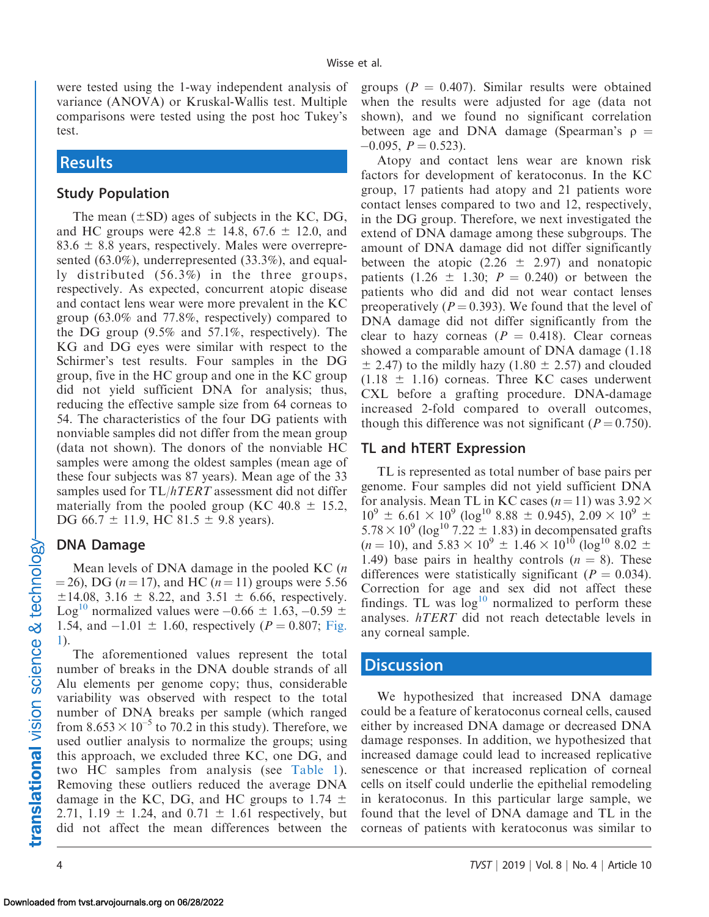were tested using the 1-way independent analysis of variance (ANOVA) or Kruskal-Wallis test. Multiple comparisons were tested using the post hoc Tukey's test.

### Results

#### Study Population

The mean  $(\pm SD)$  ages of subjects in the KC, DG, and HC groups were  $42.8 \pm 14.8$ ,  $67.6 \pm 12.0$ , and  $83.6 \pm 8.8$  years, respectively. Males were overrepresented (63.0%), underrepresented (33.3%), and equally distributed (56.3%) in the three groups, respectively. As expected, concurrent atopic disease and contact lens wear were more prevalent in the KC group (63.0% and 77.8%, respectively) compared to the DG group (9.5% and 57.1%, respectively). The KG and DG eyes were similar with respect to the Schirmer's test results. Four samples in the DG group, five in the HC group and one in the KC group did not yield sufficient DNA for analysis; thus, reducing the effective sample size from 64 corneas to 54. The characteristics of the four DG patients with nonviable samples did not differ from the mean group (data not shown). The donors of the nonviable HC samples were among the oldest samples (mean age of these four subjects was 87 years). Mean age of the 33 samples used for TL/hTERT assessment did not differ materially from the pooled group (KC 40.8  $\pm$  15.2, DG 66.7  $\pm$  11.9, HC 81.5  $\pm$  9.8 years).

#### DNA Damage

Mean levels of DNA damage in the pooled  $KC$  (*n*  $=$  26), DG (*n* = 17), and HC (*n* = 11) groups were 5.56  $\pm$ 14.08, 3.16  $\pm$  8.22, and 3.51  $\pm$  6.66, respectively. Log<sup>[10](#page-6-0)</sup> normalized values were  $-0.66 \pm 1.63, -0.59 \pm 1.63$ 1.54, and  $-1.01 \pm 1.60$ , respectively ( $P = 0.807$ ; [Fig.](#page-4-0) [1](#page-4-0)).

The aforementioned values represent the total number of breaks in the DNA double strands of all Alu elements per genome copy; thus, considerable variability was observed with respect to the total number of DNA breaks per sample (which ranged from  $8.653 \times 10^{-5}$  to 70.2 in this study). Therefore, we used outlier analysis to normalize the groups; using this approach, we excluded three KC, one DG, and two HC samples from analysis (see [Table 1](#page-5-0)). Removing these outliers reduced the average DNA damage in the KC, DG, and HC groups to 1.74  $\pm$ 2.71, 1.19  $\pm$  1.24, and 0.71  $\pm$  1.61 respectively, but did not affect the mean differences between the groups ( $P = 0.407$ ). Similar results were obtained when the results were adjusted for age (data not shown), and we found no significant correlation between age and DNA damage (Spearman's  $\rho =$  $-0.095$ ,  $P = 0.523$ ).

Atopy and contact lens wear are known risk factors for development of keratoconus. In the KC group, 17 patients had atopy and 21 patients wore contact lenses compared to two and 12, respectively, in the DG group. Therefore, we next investigated the extend of DNA damage among these subgroups. The amount of DNA damage did not differ significantly between the atopic  $(2.26 \pm 2.97)$  and nonatopic patients (1.26  $\pm$  1.30; P = 0.240) or between the patients who did and did not wear contact lenses preoperatively ( $P = 0.393$ ). We found that the level of DNA damage did not differ significantly from the clear to hazy corneas ( $P = 0.418$ ). Clear corneas showed a comparable amount of DNA damage (1.18  $\pm$  2.47) to the mildly hazy (1.80  $\pm$  2.57) and clouded  $(1.18 \pm 1.16)$  corneas. Three KC cases underwent CXL before a grafting procedure. DNA-damage increased 2-fold compared to overall outcomes, though this difference was not significant ( $P = 0.750$ ).

#### TL and hTERT Expression

TL is represented as total number of base pairs per genome. Four samples did not yield sufficient DNA for analysis. Mean TL in KC cases  $(n=11)$  was 3.92  $\times$  $10^9 \pm 6.61 \times 10^9$  (log<sup>10</sup> 8.88  $\pm$  0.945), 2.09  $\times$  10<sup>9</sup>  $\pm$  $5.78 \times 10^9$  (log<sup>10</sup> 7.22  $\pm$  1.83) in decompensated grafts  $(n = 10)$ , and 5.83  $\times$  10<sup>9</sup>  $\pm$  1.46  $\times$  10<sup>10</sup> (log<sup>10</sup> 8.02  $\pm$ 1.49) base pairs in healthy controls  $(n = 8)$ . These differences were statistically significant ( $P = 0.034$ ). Correction for age and sex did not affect these findings. TL was  $log<sup>10</sup>$  $log<sup>10</sup>$  $log<sup>10</sup>$  normalized to perform these analyses. hTERT did not reach detectable levels in any corneal sample.

#### **Discussion**

We hypothesized that increased DNA damage could be a feature of keratoconus corneal cells, caused either by increased DNA damage or decreased DNA damage responses. In addition, we hypothesized that increased damage could lead to increased replicative senescence or that increased replication of corneal cells on itself could underlie the epithelial remodeling in keratoconus. In this particular large sample, we found that the level of DNA damage and TL in the corneas of patients with keratoconus was similar to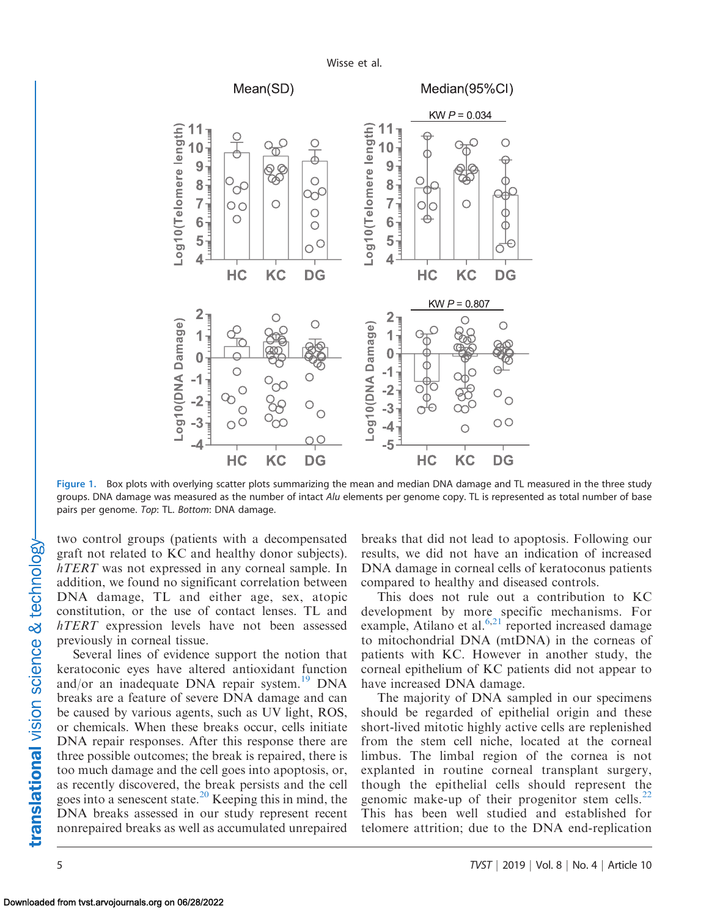Wisse et al.

<span id="page-4-0"></span>

Figure 1. Box plots with overlying scatter plots summarizing the mean and median DNA damage and TL measured in the three study groups. DNA damage was measured as the number of intact Alu elements per genome copy. TL is represented as total number of base pairs per genome. Top: TL. Bottom: DNA damage.

two control groups (patients with a decompensated graft not related to KC and healthy donor subjects). hTERT was not expressed in any corneal sample. In addition, we found no significant correlation between DNA damage, TL and either age, sex, atopic constitution, or the use of contact lenses. TL and hTERT expression levels have not been assessed previously in corneal tissue.

Several lines of evidence support the notion that keratoconic eyes have altered antioxidant function and/or an inadequate DNA repair system.<sup>[19](#page-6-0)</sup> DNA breaks are a feature of severe DNA damage and can be caused by various agents, such as UV light, ROS, or chemicals. When these breaks occur, cells initiate DNA repair responses. After this response there are three possible outcomes; the break is repaired, there is too much damage and the cell goes into apoptosis, or, as recently discovered, the break persists and the cell goes into a senescent state.<sup>[20](#page-6-0)</sup> Keeping this in mind, the DNA breaks assessed in our study represent recent nonrepaired breaks as well as accumulated unrepaired

breaks that did not lead to apoptosis. Following our results, we did not have an indication of increased DNA damage in corneal cells of keratoconus patients compared to healthy and diseased controls.

This does not rule out a contribution to KC development by more specific mechanisms. For example, Atilano et al. $6,21$  reported increased damage to mitochondrial DNA (mtDNA) in the corneas of patients with KC. However in another study, the corneal epithelium of KC patients did not appear to have increased DNA damage.

The majority of DNA sampled in our specimens should be regarded of epithelial origin and these short-lived mitotic highly active cells are replenished from the stem cell niche, located at the corneal limbus. The limbal region of the cornea is not explanted in routine corneal transplant surgery, though the epithelial cells should represent the genomic make-up of their progenitor stem cells. $^{22}$  $^{22}$  $^{22}$ This has been well studied and established for telomere attrition; due to the DNA end-replication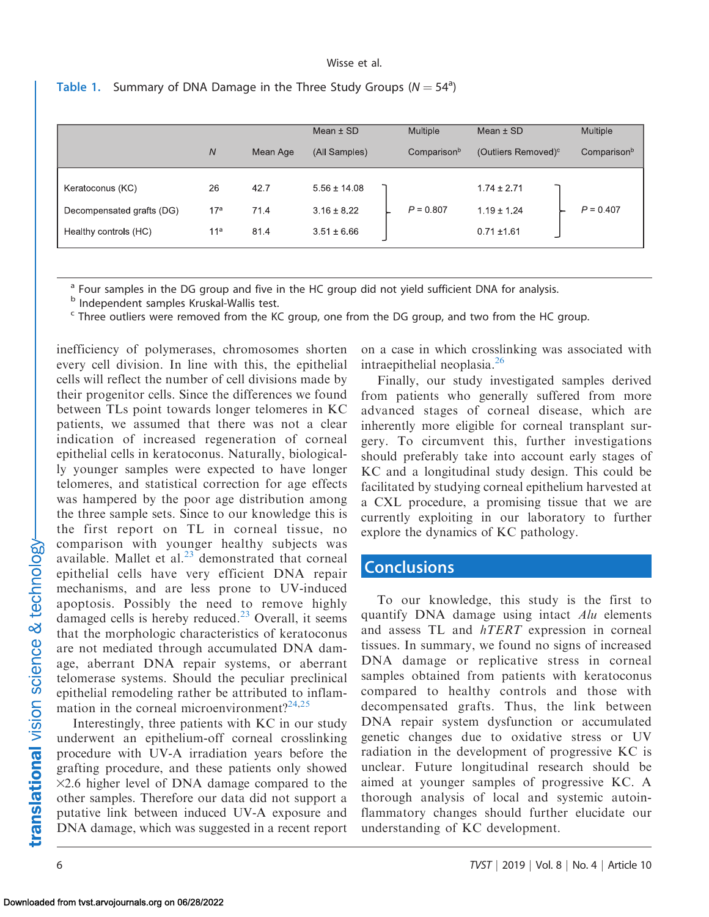<span id="page-5-0"></span>

|  | Table 1. Summary of DNA Damage in the Three Study Groups ( $N = 54a$ ) |  |
|--|------------------------------------------------------------------------|--|
|  |                                                                        |  |

|                           |                 |          | Mean $±$ SD      | <b>Multiple</b>         | Mean $±$ SD                     | <b>Multiple</b>         |
|---------------------------|-----------------|----------|------------------|-------------------------|---------------------------------|-------------------------|
|                           | $\overline{N}$  | Mean Age | (All Samples)    | Comparison <sup>b</sup> | (Outliers Removed) <sup>c</sup> | Comparison <sup>b</sup> |
| Keratoconus (KC)          | 26              | 42.7     | $5.56 \pm 14.08$ |                         | $1.74 \pm 2.71$                 |                         |
| Decompensated grafts (DG) | 17 <sup>a</sup> | 71.4     | $3.16 \pm 8.22$  | $P = 0.807$             | $1.19 \pm 1.24$                 | $P = 0.407$             |
| Healthy controls (HC)     | 11 <sup>a</sup> | 81.4     | $3.51 \pm 6.66$  |                         | $0.71 \pm 1.61$                 |                         |

 $^a$  Four samples in the DG group and five in the HC group did not yield sufficient DNA for analysis.<br>  $^b$  Independent samples Kruskal-Wallis test.

 $\epsilon$  Three outliers were removed from the KC group, one from the DG group, and two from the HC group.

inefficiency of polymerases, chromosomes shorten every cell division. In line with this, the epithelial cells will reflect the number of cell divisions made by their progenitor cells. Since the differences we found between TLs point towards longer telomeres in KC patients, we assumed that there was not a clear indication of increased regeneration of corneal epithelial cells in keratoconus. Naturally, biologically younger samples were expected to have longer telomeres, and statistical correction for age effects was hampered by the poor age distribution among the three sample sets. Since to our knowledge this is the first report on TL in corneal tissue, no comparison with younger healthy subjects was available. Mallet et al. $^{23}$  $^{23}$  $^{23}$  demonstrated that corneal epithelial cells have very efficient DNA repair mechanisms, and are less prone to UV-induced apoptosis. Possibly the need to remove highly damaged cells is hereby reduced.<sup>[23](#page-6-0)</sup> Overall, it seems that the morphologic characteristics of keratoconus are not mediated through accumulated DNA damage, aberrant DNA repair systems, or aberrant telomerase systems. Should the peculiar preclinical epithelial remodeling rather be attributed to inflam-mation in the corneal microenvironment?<sup>[24](#page-6-0)[,25](#page-7-0)</sup>

Interestingly, three patients with KC in our study underwent an epithelium-off corneal crosslinking procedure with UV-A irradiation years before the grafting procedure, and these patients only showed  $\times$ 2.6 higher level of DNA damage compared to the other samples. Therefore our data did not support a putative link between induced UV-A exposure and DNA damage, which was suggested in a recent report on a case in which crosslinking was associated with intraepithelial neoplasia.[26](#page-7-0)

Finally, our study investigated samples derived from patients who generally suffered from more advanced stages of corneal disease, which are inherently more eligible for corneal transplant surgery. To circumvent this, further investigations should preferably take into account early stages of KC and a longitudinal study design. This could be facilitated by studying corneal epithelium harvested at a CXL procedure, a promising tissue that we are currently exploiting in our laboratory to further explore the dynamics of KC pathology.

## **Conclusions**

To our knowledge, this study is the first to quantify DNA damage using intact Alu elements and assess TL and hTERT expression in corneal tissues. In summary, we found no signs of increased DNA damage or replicative stress in corneal samples obtained from patients with keratoconus compared to healthy controls and those with decompensated grafts. Thus, the link between DNA repair system dysfunction or accumulated genetic changes due to oxidative stress or UV radiation in the development of progressive KC is unclear. Future longitudinal research should be aimed at younger samples of progressive KC. A thorough analysis of local and systemic autoinflammatory changes should further elucidate our understanding of KC development.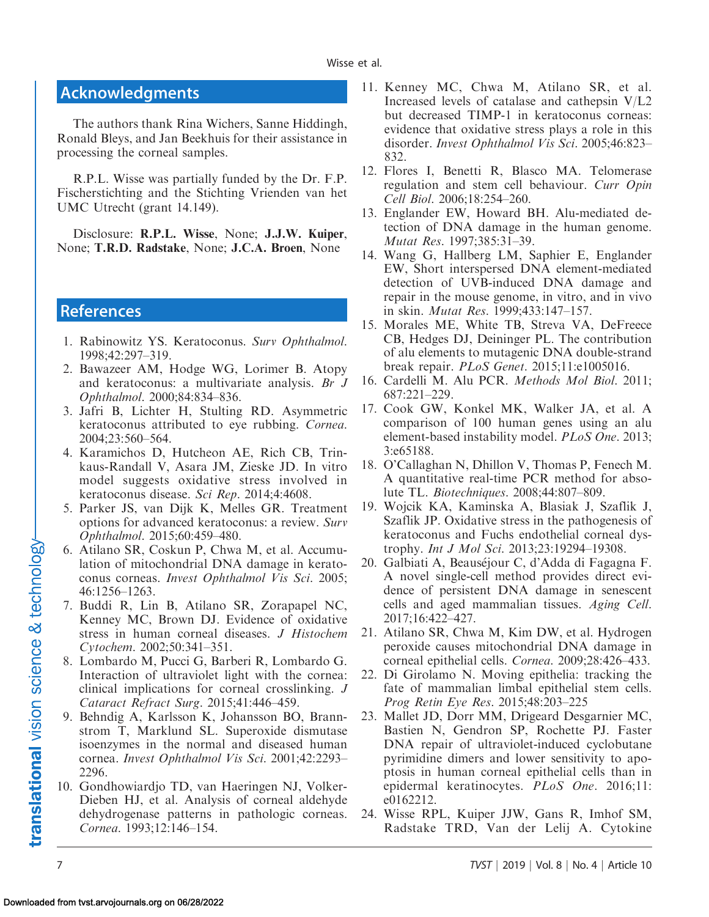### <span id="page-6-0"></span>Acknowledgments

The authors thank Rina Wichers, Sanne Hiddingh, Ronald Bleys, and Jan Beekhuis for their assistance in processing the corneal samples.

R.P.L. Wisse was partially funded by the Dr. F.P. Fischerstichting and the Stichting Vrienden van het UMC Utrecht (grant 14.149).

Disclosure: R.P.L. Wisse, None; J.J.W. Kuiper, None; T.R.D. Radstake, None; J.C.A. Broen, None

#### References

- 1. Rabinowitz YS. Keratoconus. Surv Ophthalmol. 1998;42:297–319.
- 2. Bawazeer AM, Hodge WG, Lorimer B. Atopy and keratoconus: a multivariate analysis. Br J Ophthalmol. 2000;84:834–836.
- 3. Jafri B, Lichter H, Stulting RD. Asymmetric keratoconus attributed to eye rubbing. Cornea. 2004;23:560–564.
- 4. Karamichos D, Hutcheon AE, Rich CB, Trinkaus-Randall V, Asara JM, Zieske JD. In vitro model suggests oxidative stress involved in keratoconus disease. Sci Rep. 2014;4:4608.
- 5. Parker JS, van Dijk K, Melles GR. Treatment options for advanced keratoconus: a review. Surv Ophthalmol. 2015;60:459–480.
- 6. Atilano SR, Coskun P, Chwa M, et al. Accumulation of mitochondrial DNA damage in keratoconus corneas. Invest Ophthalmol Vis Sci. 2005; 46:1256–1263.
- 7. Buddi R, Lin B, Atilano SR, Zorapapel NC, Kenney MC, Brown DJ. Evidence of oxidative stress in human corneal diseases. J Histochem Cytochem. 2002;50:341–351.
- 8. Lombardo M, Pucci G, Barberi R, Lombardo G. Interaction of ultraviolet light with the cornea: clinical implications for corneal crosslinking. J Cataract Refract Surg. 2015;41:446–459.
- 9. Behndig A, Karlsson K, Johansson BO, Brannstrom T, Marklund SL. Superoxide dismutase isoenzymes in the normal and diseased human cornea. Invest Ophthalmol Vis Sci. 2001;42:2293– 2296.
- 10. Gondhowiardjo TD, van Haeringen NJ, Volker-Dieben HJ, et al. Analysis of corneal aldehyde dehydrogenase patterns in pathologic corneas. Cornea. 1993;12:146–154.
- 11. Kenney MC, Chwa M, Atilano SR, et al. Increased levels of catalase and cathepsin V/L2 but decreased TIMP-1 in keratoconus corneas: evidence that oxidative stress plays a role in this disorder. Invest Ophthalmol Vis Sci. 2005;46:823– 832.
- 12. Flores I, Benetti R, Blasco MA. Telomerase regulation and stem cell behaviour. Curr Opin Cell Biol. 2006;18:254–260.
- 13. Englander EW, Howard BH. Alu-mediated detection of DNA damage in the human genome. Mutat Res. 1997;385:31–39.
- 14. Wang G, Hallberg LM, Saphier E, Englander EW, Short interspersed DNA element-mediated detection of UVB-induced DNA damage and repair in the mouse genome, in vitro, and in vivo in skin. Mutat Res. 1999;433:147–157.
- 15. Morales ME, White TB, Streva VA, DeFreece CB, Hedges DJ, Deininger PL. The contribution of alu elements to mutagenic DNA double-strand break repair. PLoS Genet. 2015;11:e1005016.
- 16. Cardelli M. Alu PCR. Methods Mol Biol. 2011; 687:221–229.
- 17. Cook GW, Konkel MK, Walker JA, et al. A comparison of 100 human genes using an alu element-based instability model. PLoS One. 2013; 3:e65188.
- 18. O'Callaghan N, Dhillon V, Thomas P, Fenech M. A quantitative real-time PCR method for absolute TL. Biotechniques. 2008;44:807–809.
- 19. Wojcik KA, Kaminska A, Blasiak J, Szaflik J, Szaflik JP. Oxidative stress in the pathogenesis of keratoconus and Fuchs endothelial corneal dystrophy. Int J Mol Sci. 2013;23:19294–19308.
- 20. Galbiati A, Beauséjour C, d'Adda di Fagagna F. A novel single-cell method provides direct evidence of persistent DNA damage in senescent cells and aged mammalian tissues. Aging Cell. 2017;16:422–427.
- 21. Atilano SR, Chwa M, Kim DW, et al. Hydrogen peroxide causes mitochondrial DNA damage in corneal epithelial cells. Cornea. 2009;28:426–433.
- 22. Di Girolamo N. Moving epithelia: tracking the fate of mammalian limbal epithelial stem cells. Prog Retin Eye Res. 2015;48:203–225
- 23. Mallet JD, Dorr MM, Drigeard Desgarnier MC, Bastien N, Gendron SP, Rochette PJ. Faster DNA repair of ultraviolet-induced cyclobutane pyrimidine dimers and lower sensitivity to apoptosis in human corneal epithelial cells than in epidermal keratinocytes. PLoS One. 2016;11: e0162212.
- 24. Wisse RPL, Kuiper JJW, Gans R, Imhof SM, Radstake TRD, Van der Lelij A. Cytokine